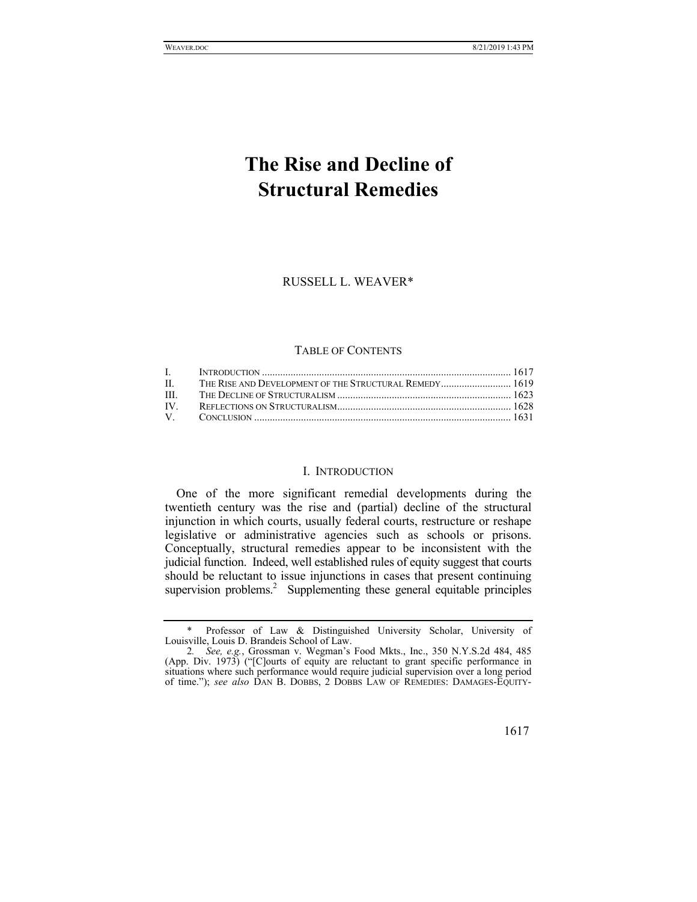# **The Rise and Decline of Structural Remedies**

RUSSELL L. WEAVER\*

#### TABLE OF CONTENTS

### I. INTRODUCTION

One of the more significant remedial developments during the twentieth century was the rise and (partial) decline of the structural injunction in which courts, usually federal courts, restructure or reshape legislative or administrative agencies such as schools or prisons. Conceptually, structural remedies appear to be inconsistent with the judicial function. Indeed, well established rules of equity suggest that courts should be reluctant to issue injunctions in cases that present continuing supervision problems.<sup>2</sup> Supplementing these general equitable principles

Professor of Law & Distinguished University Scholar, University of Louisville, Louis D. Brandeis School of Law.

<sup>2</sup>*. See, e.g.*, Grossman v. Wegman's Food Mkts., Inc., 350 N.Y.S.2d 484, 485 (App. Div. 1973) ("[C]ourts of equity are reluctant to grant specific performance in situations where such performance would require judicial supervision over a long period of time."); *see also* DAN B. DOBBS, 2 DOBBS LAW OF REMEDIES: DAMAGES-EQUITY-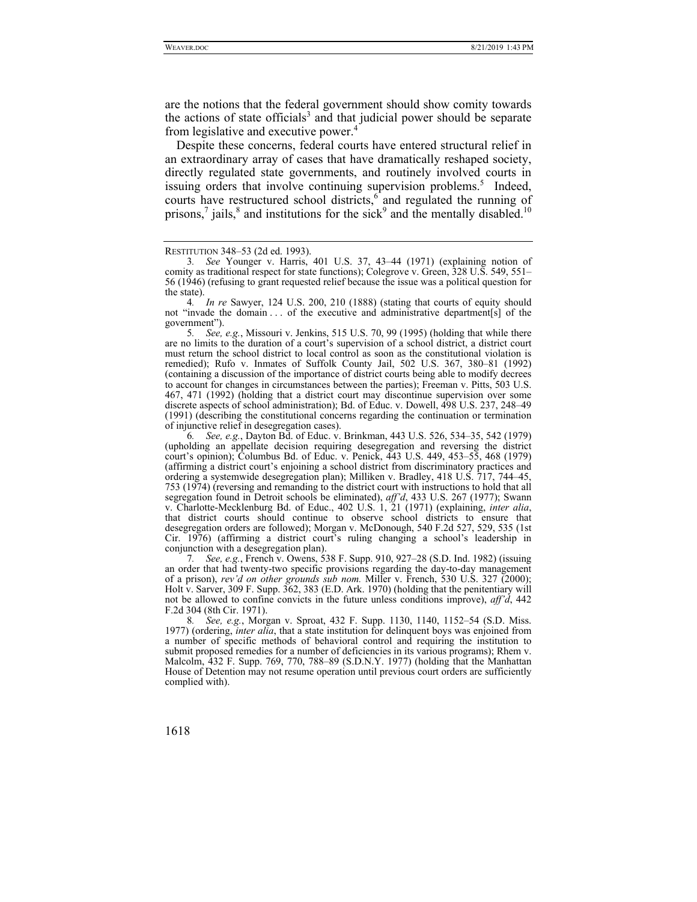are the notions that the federal government should show comity towards the actions of state officials<sup>3</sup> and that judicial power should be separate from legislative and executive power.<sup>4</sup>

Despite these concerns, federal courts have entered structural relief in an extraordinary array of cases that have dramatically reshaped society, directly regulated state governments, and routinely involved courts in issuing orders that involve continuing supervision problems.<sup>5</sup> Indeed, courts have restructured school districts,<sup>6</sup> and regulated the running of prisons,<sup>7</sup> jails,<sup>8</sup> and institutions for the sick<sup>9</sup> and the mentally disabled.<sup>10</sup>

5*. See, e.g.*, Missouri v. Jenkins, 515 U.S. 70, 99 (1995) (holding that while there are no limits to the duration of a court's supervision of a school district, a district court must return the school district to local control as soon as the constitutional violation is remedied); Rufo v. Inmates of Suffolk County Jail, 502 U.S. 367, 380–81 (1992) (containing a discussion of the importance of district courts being able to modify decrees to account for changes in circumstances between the parties); Freeman v. Pitts, 503 U.S. 467, 471 (1992) (holding that a district court may discontinue supervision over some discrete aspects of school administration); Bd. of Educ. v. Dowell, 498 U.S. 237, 248–49 (1991) (describing the constitutional concerns regarding the continuation or termination of injunctive relief in desegregation cases).

6*. See, e.g.*, Dayton Bd. of Educ. v. Brinkman, 443 U.S. 526, 534–35, 542 (1979) (upholding an appellate decision requiring desegregation and reversing the district court's opinion); Columbus Bd. of Educ. v. Penick, 443 U.S. 449, 453–55, 468 (1979) (affirming a district court's enjoining a school district from discriminatory practices and ordering a systemwide desegregation plan); Milliken v. Bradley, 418 U.S. 717, 744–45, 753 (1974) (reversing and remanding to the district court with instructions to hold that all segregation found in Detroit schools be eliminated), *aff'd*, 433 U.S. 267 (1977); Swann v. Charlotte-Mecklenburg Bd. of Educ., 402 U.S. 1, 21 (1971) (explaining, *inter alia*, that district courts should continue to observe school districts to ensure that desegregation orders are followed); Morgan v. McDonough, 540 F.2d 527, 529, 535 (1st Cir. 1976) (affirming a district court's ruling changing a school's leadership in conjunction with a desegregation plan).

7*. See, e.g.*, French v. Owens, 538 F. Supp. 910, 927–28 (S.D. Ind. 1982) (issuing an order that had twenty-two specific provisions regarding the day-to-day management of a prison), *rev'd on other grounds sub nom.* Miller v. French, 530 U.S. 327 (2000); Holt v. Sarver, 309 F. Supp. 362, 383 (E.D. Ark. 1970) (holding that the penitentiary will not be allowed to confine convicts in the future unless conditions improve), *aff'd*, 442 F.2d 304 (8th Cir. 1971).

8*. See, e.g.*, Morgan v. Sproat, 432 F. Supp. 1130, 1140, 1152–54 (S.D. Miss. 1977) (ordering, *inter alia*, that a state institution for delinquent boys was enjoined from a number of specific methods of behavioral control and requiring the institution to submit proposed remedies for a number of deficiencies in its various programs); Rhem v. Malcolm, 432 F. Supp. 769, 770, 788–89 (S.D.N.Y. 1977) (holding that the Manhattan House of Detention may not resume operation until previous court orders are sufficiently complied with).

RESTITUTION 348–53 (2d ed. 1993).

<sup>3</sup>*. See* Younger v. Harris, 401 U.S. 37, 43–44 (1971) (explaining notion of comity as traditional respect for state functions); Colegrove v. Green, 328 U.S. 549, 551– 56 (1946) (refusing to grant requested relief because the issue was a political question for the state).

<sup>4</sup>*. In re* Sawyer, 124 U.S. 200, 210 (1888) (stating that courts of equity should not "invade the domain . . . of the executive and administrative department[s] of the government").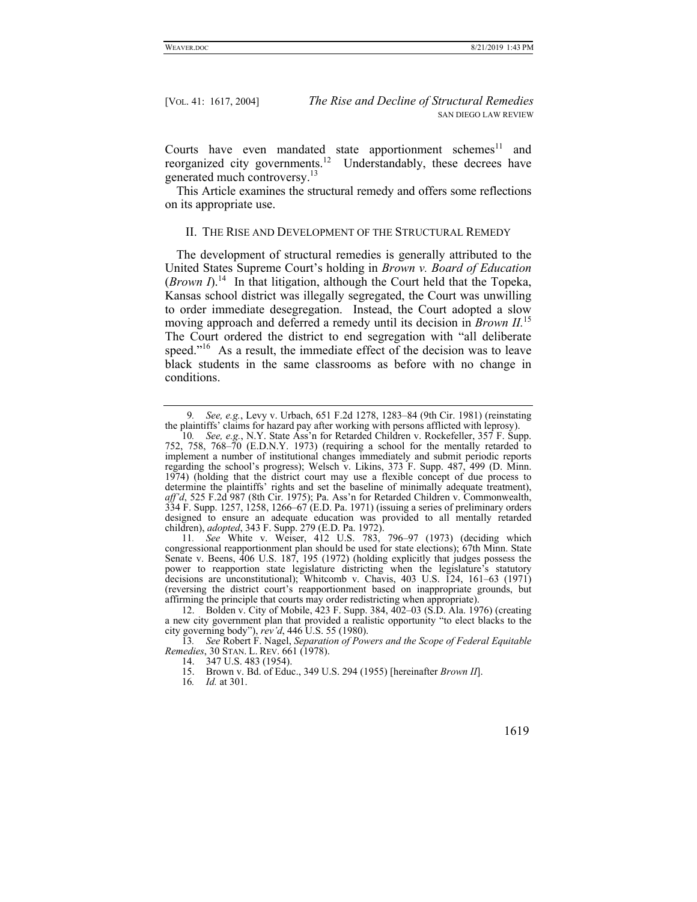Courts have even mandated state apportionment schemes $^{11}$  and reorganized city governments.<sup>12</sup> Understandably, these decrees have generated much controversy.13

This Article examines the structural remedy and offers some reflections on its appropriate use.

### II. THE RISE AND DEVELOPMENT OF THE STRUCTURAL REMEDY

The development of structural remedies is generally attributed to the United States Supreme Court's holding in *Brown v. Board of Education*  (*Brown I*).<sup>14</sup> In that litigation, although the Court held that the Topeka, Kansas school district was illegally segregated, the Court was unwilling to order immediate desegregation. Instead, the Court adopted a slow moving approach and deferred a remedy until its decision in *Brown II.*15 The Court ordered the district to end segregation with "all deliberate speed."<sup>16</sup> As a result, the immediate effect of the decision was to leave black students in the same classrooms as before with no change in conditions.

11*. See* White v. Weiser, 412 U.S. 783, 796–97 (1973) (deciding which congressional reapportionment plan should be used for state elections); 67th Minn. State Senate v. Beens, 406 U.S. 187, 195 (1972) (holding explicitly that judges possess the power to reapportion state legislature districting when the legislature's statutory decisions are unconstitutional); Whitcomb v. Chavis, 403 U.S.  $\tilde{1}24$ , 161–63 (1971) (reversing the district court's reapportionment based on inappropriate grounds, but affirming the principle that courts may order redistricting when appropriate).

 12. Bolden v. City of Mobile, 423 F. Supp. 384, 402–03 (S.D. Ala. 1976) (creating a new city government plan that provided a realistic opportunity "to elect blacks to the city governing body"), *rev'd*, 446 U.S. 55 (1980).

13*. See* Robert F. Nagel, *Separation of Powers and the Scope of Federal Equitable Remedies*, 30 STAN. L. REV. 661 (1978).

16*. Id.* at 301.

<sup>9</sup>*. See, e.g.*, Levy v. Urbach, 651 F.2d 1278, 1283–84 (9th Cir. 1981) (reinstating the plaintiffs' claims for hazard pay after working with persons afflicted with leprosy).

<sup>10</sup>*. See, e.g.*, N.Y. State Ass'n for Retarded Children v. Rockefeller, 357 F. Supp. 752, 758, 768–70 (E.D.N.Y. 1973) (requiring a school for the mentally retarded to implement a number of institutional changes immediately and submit periodic reports regarding the school's progress); Welsch v. Likins, 373 F. Supp. 487, 499 (D. Minn. 1974) (holding that the district court may use a flexible concept of due process to determine the plaintiffs' rights and set the baseline of minimally adequate treatment), *aff'd*, 525 F.2d 987 (8th Cir. 1975); Pa. Ass'n for Retarded Children v. Commonwealth, 334 F. Supp. 1257, 1258, 1266–67 (E.D. Pa. 1971) (issuing a series of preliminary orders designed to ensure an adequate education was provided to all mentally retarded children), *adopted*, 343 F. Supp. 279 (E.D. Pa. 1972).

 <sup>14. 347</sup> U.S. 483 (1954).

 <sup>15.</sup> Brown v. Bd. of Educ., 349 U.S. 294 (1955) [hereinafter *Brown II*].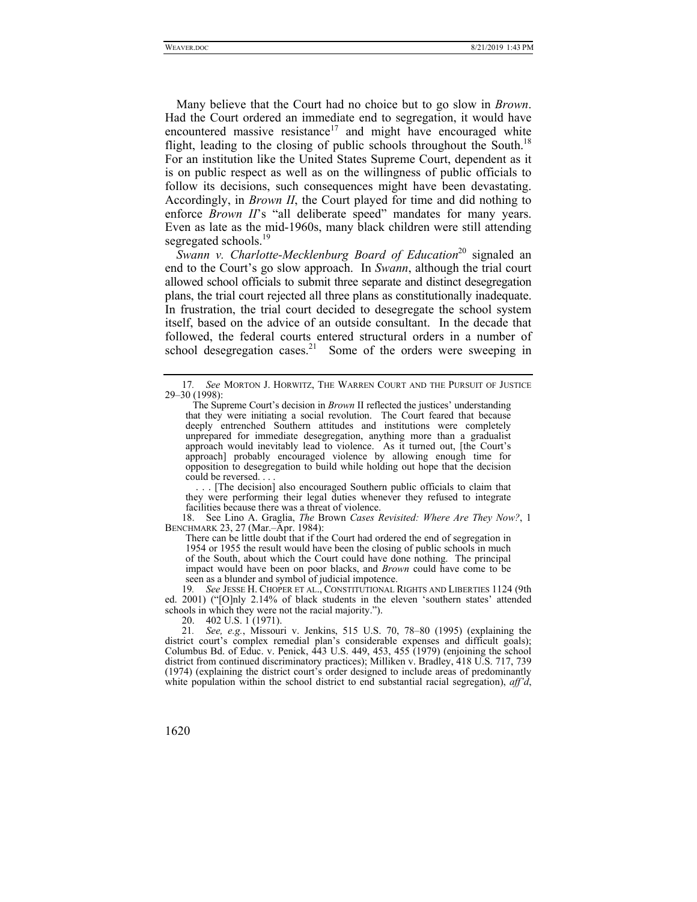Many believe that the Court had no choice but to go slow in *Brown*. Had the Court ordered an immediate end to segregation, it would have encountered massive resistance<sup>17</sup> and might have encouraged white flight, leading to the closing of public schools throughout the South.<sup>18</sup> For an institution like the United States Supreme Court, dependent as it is on public respect as well as on the willingness of public officials to follow its decisions, such consequences might have been devastating. Accordingly, in *Brown II*, the Court played for time and did nothing to enforce *Brown II*'s "all deliberate speed" mandates for many years. Even as late as the mid-1960s, many black children were still attending segregated schools.<sup>19</sup>

*Swann v. Charlotte-Mecklenburg Board of Education*20 signaled an end to the Court's go slow approach. In *Swann*, although the trial court allowed school officials to submit three separate and distinct desegregation plans, the trial court rejected all three plans as constitutionally inadequate. In frustration, the trial court decided to desegregate the school system itself, based on the advice of an outside consultant. In the decade that followed, the federal courts entered structural orders in a number of school desegregation cases.<sup>21</sup> Some of the orders were sweeping in

 . . . [The decision] also encouraged Southern public officials to claim that they were performing their legal duties whenever they refused to integrate facilities because there was a threat of violence.

 18. See Lino A. Graglia, *The* Brown *Cases Revisited: Where Are They Now?*, 1 BENCHMARK 23, 27 (Mar.–Apr. 1984):

There can be little doubt that if the Court had ordered the end of segregation in 1954 or 1955 the result would have been the closing of public schools in much of the South, about which the Court could have done nothing. The principal impact would have been on poor blacks, and *Brown* could have come to be seen as a blunder and symbol of judicial impotence.

19*. See* JESSE H. CHOPER ET AL., CONSTITUTIONAL RIGHTS AND LIBERTIES 1124 (9th ed. 2001) ("[O]nly 2.14% of black students in the eleven 'southern states' attended schools in which they were not the racial majority.").

20. 402 U.S. 1 (1971).

21*. See, e.g.*, Missouri v. Jenkins, 515 U.S. 70, 78–80 (1995) (explaining the district court's complex remedial plan's considerable expenses and difficult goals); Columbus Bd. of Educ. v. Penick, 443 U.S. 449, 453, 455 (1979) (enjoining the school district from continued discriminatory practices); Milliken v. Bradley, 418 U.S. 717, 739 (1974) (explaining the district court's order designed to include areas of predominantly white population within the school district to end substantial racial segregation), *aff'd*,

<sup>17</sup>*. See* MORTON J. HORWITZ, THE WARREN COURT AND THE PURSUIT OF JUSTICE 29–30 (1998):

The Supreme Court's decision in *Brown* II reflected the justices' understanding that they were initiating a social revolution. The Court feared that because deeply entrenched Southern attitudes and institutions were completely unprepared for immediate desegregation, anything more than a gradualist approach would inevitably lead to violence. As it turned out, [the Court's approach] probably encouraged violence by allowing enough time for opposition to desegregation to build while holding out hope that the decision could be reversed. . . .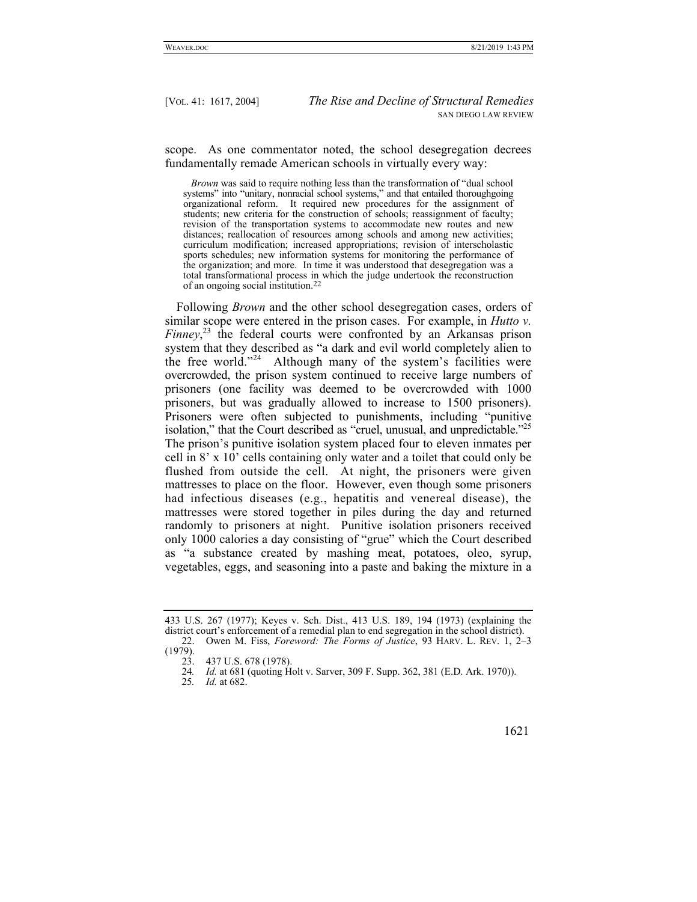scope. As one commentator noted, the school desegregation decrees fundamentally remade American schools in virtually every way:

 *Brown* was said to require nothing less than the transformation of "dual school systems" into "unitary, nonracial school systems," and that entailed thoroughgoing organizational reform. It required new procedures for the assignment of students; new criteria for the construction of schools; reassignment of faculty; revision of the transportation systems to accommodate new routes and new distances; reallocation of resources among schools and among new activities; curriculum modification; increased appropriations; revision of interscholastic sports schedules; new information systems for monitoring the performance of the organization; and more. In time it was understood that desegregation was a total transformational process in which the judge undertook the reconstruction of an ongoing social institution.22

Following *Brown* and the other school desegregation cases, orders of similar scope were entered in the prison cases. For example, in *Hutto v. Finney*, 23 the federal courts were confronted by an Arkansas prison system that they described as "a dark and evil world completely alien to the free world."<sup>24</sup> Although many of the system's facilities were overcrowded, the prison system continued to receive large numbers of prisoners (one facility was deemed to be overcrowded with 1000 prisoners, but was gradually allowed to increase to 1500 prisoners). Prisoners were often subjected to punishments, including "punitive isolation," that the Court described as "cruel, unusual, and unpredictable."<sup>25</sup> The prison's punitive isolation system placed four to eleven inmates per cell in 8' x 10' cells containing only water and a toilet that could only be flushed from outside the cell. At night, the prisoners were given mattresses to place on the floor. However, even though some prisoners had infectious diseases (e.g., hepatitis and venereal disease), the mattresses were stored together in piles during the day and returned randomly to prisoners at night. Punitive isolation prisoners received only 1000 calories a day consisting of "grue" which the Court described as "a substance created by mashing meat, potatoes, oleo, syrup, vegetables, eggs, and seasoning into a paste and baking the mixture in a

<sup>25</sup>*. Id.* at 682.



<sup>433</sup> U.S. 267 (1977); Keyes v. Sch. Dist., 413 U.S. 189, 194 (1973) (explaining the district court's enforcement of a remedial plan to end segregation in the school district). 22. Owen M. Fiss, *Foreword: The Forms of Justice*, 93 HARV. L. REV. 1, 2–3

<sup>(1979).</sup> 

 <sup>23. 437</sup> U.S. 678 (1978).

<sup>24</sup>*. Id.* at 681 (quoting Holt v. Sarver, 309 F. Supp. 362, 381 (E.D. Ark. 1970)).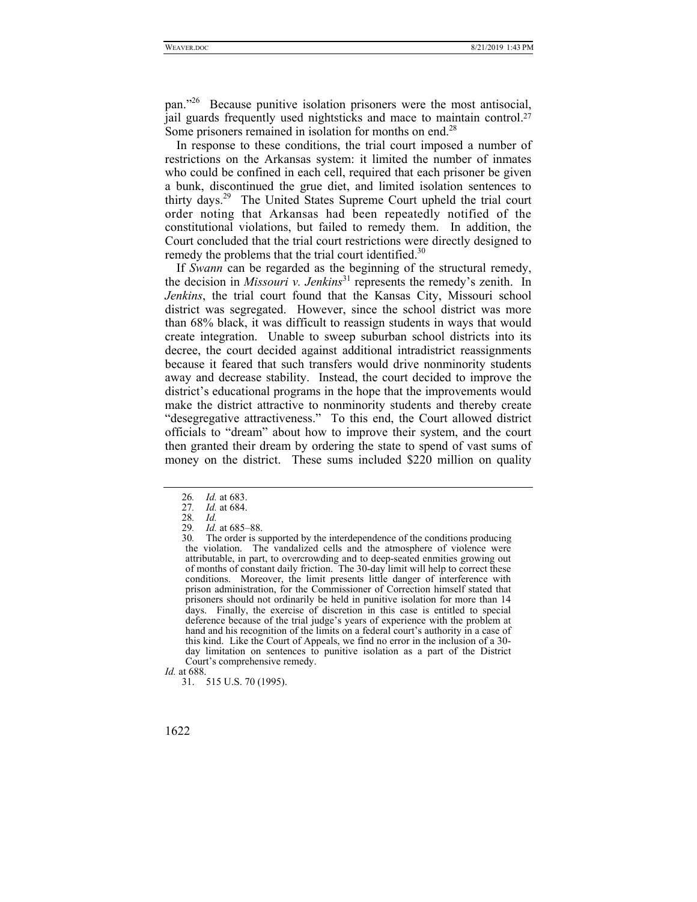pan."26 Because punitive isolation prisoners were the most antisocial, jail guards frequently used nightsticks and mace to maintain control.<sup>27</sup> Some prisoners remained in isolation for months on end.<sup>28</sup>

In response to these conditions, the trial court imposed a number of restrictions on the Arkansas system: it limited the number of inmates who could be confined in each cell, required that each prisoner be given a bunk, discontinued the grue diet, and limited isolation sentences to thirty days.<sup>29</sup> The United States Supreme Court upheld the trial court order noting that Arkansas had been repeatedly notified of the constitutional violations, but failed to remedy them. In addition, the Court concluded that the trial court restrictions were directly designed to remedy the problems that the trial court identified.<sup>30</sup>

If *Swann* can be regarded as the beginning of the structural remedy, the decision in *Missouri v. Jenkins*<sup>31</sup> represents the remedy's zenith. In *Jenkins*, the trial court found that the Kansas City, Missouri school district was segregated. However, since the school district was more than 68% black, it was difficult to reassign students in ways that would create integration. Unable to sweep suburban school districts into its decree, the court decided against additional intradistrict reassignments because it feared that such transfers would drive nonminority students away and decrease stability. Instead, the court decided to improve the district's educational programs in the hope that the improvements would make the district attractive to nonminority students and thereby create "desegregative attractiveness." To this end, the Court allowed district officials to "dream" about how to improve their system, and the court then granted their dream by ordering the state to spend of vast sums of money on the district. These sums included \$220 million on quality

<sup>26</sup>*. Id.* at 683.

<sup>27</sup>*. Id.* at 684.

<sup>28</sup>*. Id.*

<sup>29</sup>*. Id.* at 685–88.

<sup>30</sup>*.* The order is supported by the interdependence of the conditions producing the violation. The vandalized cells and the atmosphere of violence were attributable, in part, to overcrowding and to deep-seated enmities growing out of months of constant daily friction. The 30-day limit will help to correct these conditions. Moreover, the limit presents little danger of interference with prison administration, for the Commissioner of Correction himself stated that prisoners should not ordinarily be held in punitive isolation for more than 14 days. Finally, the exercise of discretion in this case is entitled to special deference because of the trial judge's years of experience with the problem at hand and his recognition of the limits on a federal court's authority in a case of this kind. Like the Court of Appeals, we find no error in the inclusion of a 30 day limitation on sentences to punitive isolation as a part of the District Court's comprehensive remedy.

*Id.* at 688.

 <sup>31. 515</sup> U.S. 70 (1995).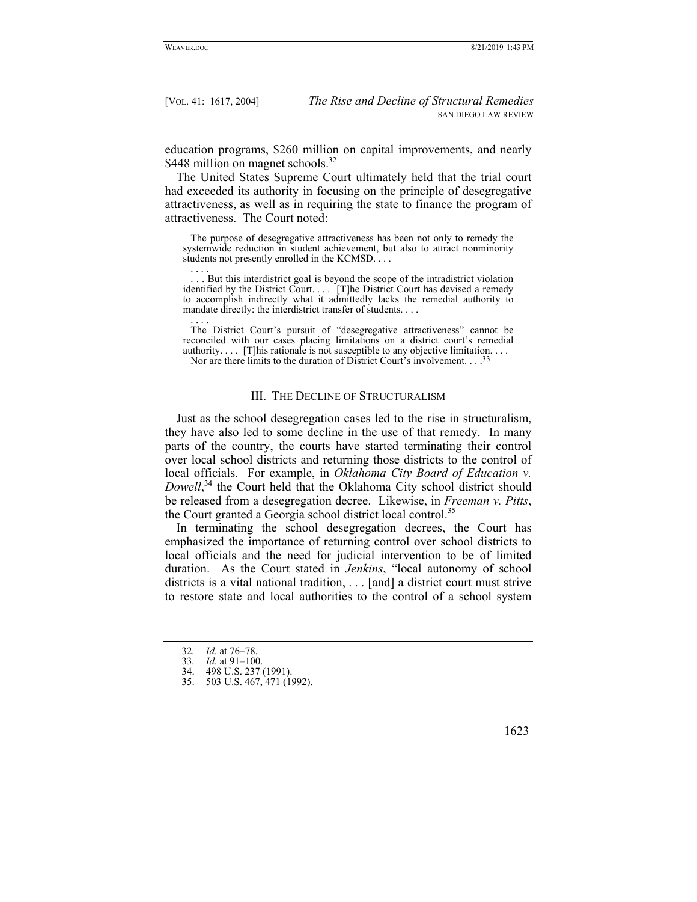education programs, \$260 million on capital improvements, and nearly \$448 million on magnet schools.<sup>32</sup>

The United States Supreme Court ultimately held that the trial court had exceeded its authority in focusing on the principle of desegregative attractiveness, as well as in requiring the state to finance the program of attractiveness. The Court noted:

 The purpose of desegregative attractiveness has been not only to remedy the systemwide reduction in student achievement, but also to attract nonminority students not presently enrolled in the KCMSD. . . . . . . .

.. But this interdistrict goal is beyond the scope of the intradistrict violation identified by the District Court. . . . [T]he District Court has devised a remedy to accomplish indirectly what it admittedly lacks the remedial authority to mandate directly: the interdistrict transfer of students. . . .

 . . . . The District Court's pursuit of "desegregative attractiveness" cannot be reconciled with our cases placing limitations on a district court's remedial authority.... [T]his rationale is not susceptible to any objective limitation.... Nor are there limits to the duration of District Court's involvement. . . .33

#### III. THE DECLINE OF STRUCTURALISM

Just as the school desegregation cases led to the rise in structuralism, they have also led to some decline in the use of that remedy. In many parts of the country, the courts have started terminating their control over local school districts and returning those districts to the control of local officials. For example, in *Oklahoma City Board of Education v.*  Dowell,<sup>34</sup> the Court held that the Oklahoma City school district should be released from a desegregation decree. Likewise, in *Freeman v. Pitts*, the Court granted a Georgia school district local control.<sup>35</sup>

In terminating the school desegregation decrees, the Court has emphasized the importance of returning control over school districts to local officials and the need for judicial intervention to be of limited duration. As the Court stated in *Jenkins*, "local autonomy of school districts is a vital national tradition, . . . [and] a district court must strive to restore state and local authorities to the control of a school system

34. 498 U.S. 237 (1991).

 <sup>35. 503</sup> U.S. 467, 471 (1992).



<sup>32</sup>*. Id.* at 76–78.

<sup>33</sup>*. Id.* at 91–100.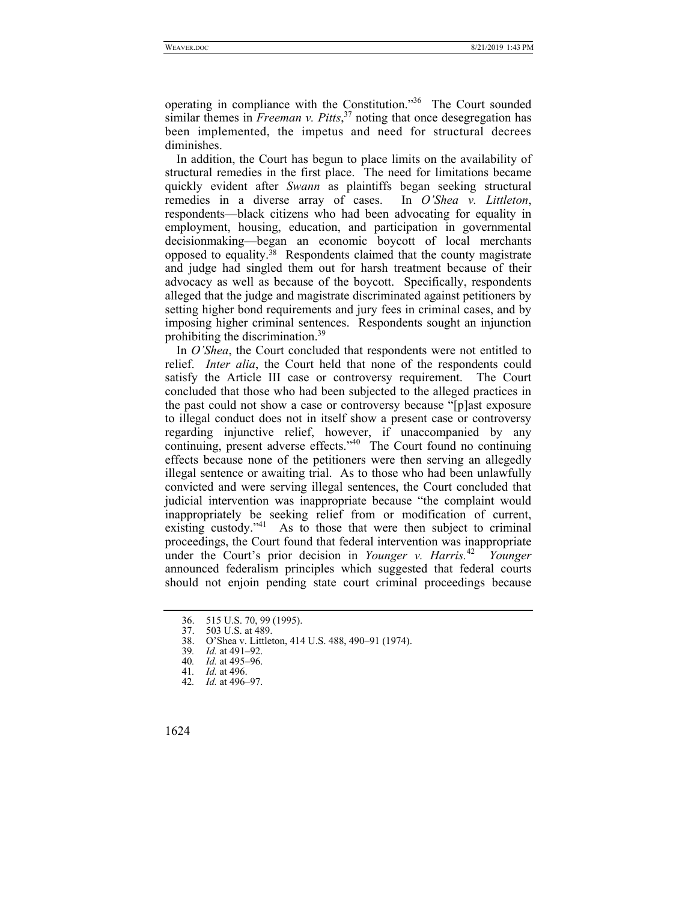operating in compliance with the Constitution."36 The Court sounded similar themes in *Freeman v. Pitts*, 37 noting that once desegregation has been implemented, the impetus and need for structural decrees diminishes.

In addition, the Court has begun to place limits on the availability of structural remedies in the first place. The need for limitations became quickly evident after *Swann* as plaintiffs began seeking structural remedies in a diverse array of cases. In *O'Shea v. Littleton*, respondents—black citizens who had been advocating for equality in employment, housing, education, and participation in governmental decisionmaking—began an economic boycott of local merchants opposed to equality.38 Respondents claimed that the county magistrate and judge had singled them out for harsh treatment because of their advocacy as well as because of the boycott. Specifically, respondents alleged that the judge and magistrate discriminated against petitioners by setting higher bond requirements and jury fees in criminal cases, and by imposing higher criminal sentences. Respondents sought an injunction prohibiting the discrimination.<sup>39</sup>

In *O'Shea*, the Court concluded that respondents were not entitled to relief. *Inter alia*, the Court held that none of the respondents could satisfy the Article III case or controversy requirement. The Court concluded that those who had been subjected to the alleged practices in the past could not show a case or controversy because "[p]ast exposure to illegal conduct does not in itself show a present case or controversy regarding injunctive relief, however, if unaccompanied by any continuing, present adverse effects."<sup>40</sup> The Court found no continuing effects because none of the petitioners were then serving an allegedly illegal sentence or awaiting trial. As to those who had been unlawfully convicted and were serving illegal sentences, the Court concluded that judicial intervention was inappropriate because "the complaint would inappropriately be seeking relief from or modification of current, existing custody."<sup>41</sup> As to those that were then subject to criminal proceedings, the Court found that federal intervention was inappropriate under the Court's prior decision in *Younger v. Harris.*<sup>42</sup> *Younger* announced federalism principles which suggested that federal courts should not enjoin pending state court criminal proceedings because

<sup>42</sup>*. Id.* at 496–97.



<sup>36. 515</sup> U.S. 70, 99 (1995).<br>37. 503 U.S. at 489.

<sup>37. 503</sup> U.S. at 489.<br>38. O'Shea v. Little

 <sup>38.</sup> O'Shea v. Littleton, 414 U.S. 488, 490–91 (1974).

<sup>39</sup>*. Id.* at 491–92.

<sup>40</sup>*. Id.* at 495–96.

<sup>41</sup>*. Id.* at 496.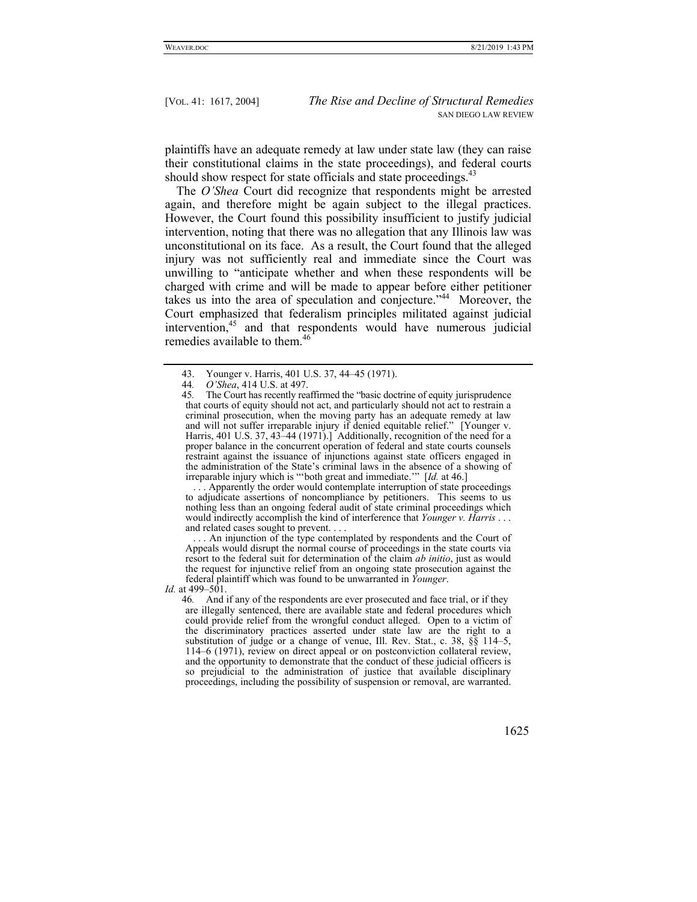plaintiffs have an adequate remedy at law under state law (they can raise their constitutional claims in the state proceedings), and federal courts should show respect for state officials and state proceedings.<sup>43</sup>

The *O'Shea* Court did recognize that respondents might be arrested again, and therefore might be again subject to the illegal practices. However, the Court found this possibility insufficient to justify judicial intervention, noting that there was no allegation that any Illinois law was unconstitutional on its face. As a result, the Court found that the alleged injury was not sufficiently real and immediate since the Court was unwilling to "anticipate whether and when these respondents will be charged with crime and will be made to appear before either petitioner takes us into the area of speculation and conjecture."44 Moreover, the Court emphasized that federalism principles militated against judicial intervention,45 and that respondents would have numerous judicial remedies available to them.<sup>46</sup>

 . . . Apparently the order would contemplate interruption of state proceedings to adjudicate assertions of noncompliance by petitioners. This seems to us nothing less than an ongoing federal audit of state criminal proceedings which would indirectly accomplish the kind of interference that *Younger v. Harris* . . . and related cases sought to prevent. . . .

... An injunction of the type contemplated by respondents and the Court of Appeals would disrupt the normal course of proceedings in the state courts via resort to the federal suit for determination of the claim *ab initio*, just as would the request for injunctive relief from an ongoing state prosecution against the federal plaintiff which was found to be unwarranted in *Younger*.

*Id.* at 499–501.

 <sup>43.</sup> Younger v. Harris, 401 U.S. 37, 44–45 (1971).

<sup>44</sup>*. O'Shea*, 414 U.S. at 497.

The Court has recently reaffirmed the "basic doctrine of equity jurisprudence" that courts of equity should not act, and particularly should not act to restrain a criminal prosecution, when the moving party has an adequate remedy at law and will not suffer irreparable injury if denied equitable relief." [Younger v. Harris, 401 U.S. 37, 43–44 (1971).] Additionally, recognition of the need for a proper balance in the concurrent operation of federal and state courts counsels restraint against the issuance of injunctions against state officers engaged in the administration of the State's criminal laws in the absence of a showing of irreparable injury which is "'both great and immediate.'" [*Id.* at 46.]

<sup>46</sup>*.* And if any of the respondents are ever prosecuted and face trial, or if they are illegally sentenced, there are available state and federal procedures which could provide relief from the wrongful conduct alleged. Open to a victim of the discriminatory practices asserted under state law are the right to a substitution of judge or a change of venue, Ill. Rev. Stat., c. 38, §§ 114–5, 114–6 (1971), review on direct appeal or on postconviction collateral review, and the opportunity to demonstrate that the conduct of these judicial officers is so prejudicial to the administration of justice that available disciplinary proceedings, including the possibility of suspension or removal, are warranted.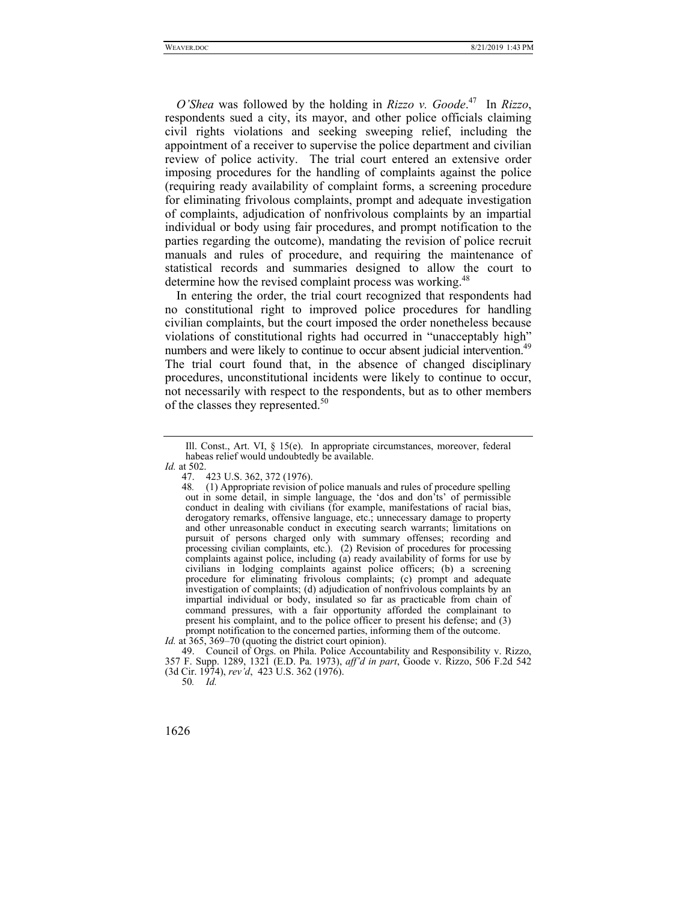*O'Shea* was followed by the holding in *Rizzo v. Goode*. 47 In *Rizzo*, respondents sued a city, its mayor, and other police officials claiming civil rights violations and seeking sweeping relief, including the appointment of a receiver to supervise the police department and civilian review of police activity. The trial court entered an extensive order imposing procedures for the handling of complaints against the police (requiring ready availability of complaint forms, a screening procedure for eliminating frivolous complaints, prompt and adequate investigation of complaints, adjudication of nonfrivolous complaints by an impartial individual or body using fair procedures, and prompt notification to the parties regarding the outcome), mandating the revision of police recruit manuals and rules of procedure, and requiring the maintenance of statistical records and summaries designed to allow the court to determine how the revised complaint process was working.<sup>48</sup>

In entering the order, the trial court recognized that respondents had no constitutional right to improved police procedures for handling civilian complaints, but the court imposed the order nonetheless because violations of constitutional rights had occurred in "unacceptably high" numbers and were likely to continue to occur absent judicial intervention.<sup>49</sup> The trial court found that, in the absence of changed disciplinary procedures, unconstitutional incidents were likely to continue to occur, not necessarily with respect to the respondents, but as to other members of the classes they represented. $50$ 

*Id.* at 365, 369–70 (quoting the district court opinion).

Ill. Const., Art. VI, § 15(e). In appropriate circumstances, moreover, federal habeas relief would undoubtedly be available. *Id.* at 502.

 <sup>47. 423</sup> U.S. 362, 372 (1976).

<sup>48</sup>*.* (1) Appropriate revision of police manuals and rules of procedure spelling out in some detail, in simple language, the 'dos and don'ts' of permissible conduct in dealing with civilians (for example, manifestations of racial bias, derogatory remarks, offensive language, etc.; unnecessary damage to property and other unreasonable conduct in executing search warrants; limitations on pursuit of persons charged only with summary offenses; recording and processing civilian complaints, etc.). (2) Revision of procedures for processing complaints against police, including (a) ready availability of forms for use by civilians in lodging complaints against police officers; (b) a screening procedure for eliminating frivolous complaints; (c) prompt and adequate investigation of complaints; (d) adjudication of nonfrivolous complaints by an impartial individual or body, insulated so far as practicable from chain of command pressures, with a fair opportunity afforded the complainant to present his complaint, and to the police officer to present his defense; and (3) prompt notification to the concerned parties, informing them of the outcome.

 <sup>49.</sup> Council of Orgs. on Phila. Police Accountability and Responsibility v. Rizzo, 357 F. Supp. 1289, 1321 (E.D. Pa. 1973), *aff'd in part*, Goode v. Rizzo, 506 F.2d 542 (3d Cir. 1974), *rev'd*, 423 U.S. 362 (1976).

<sup>50</sup>*. Id.*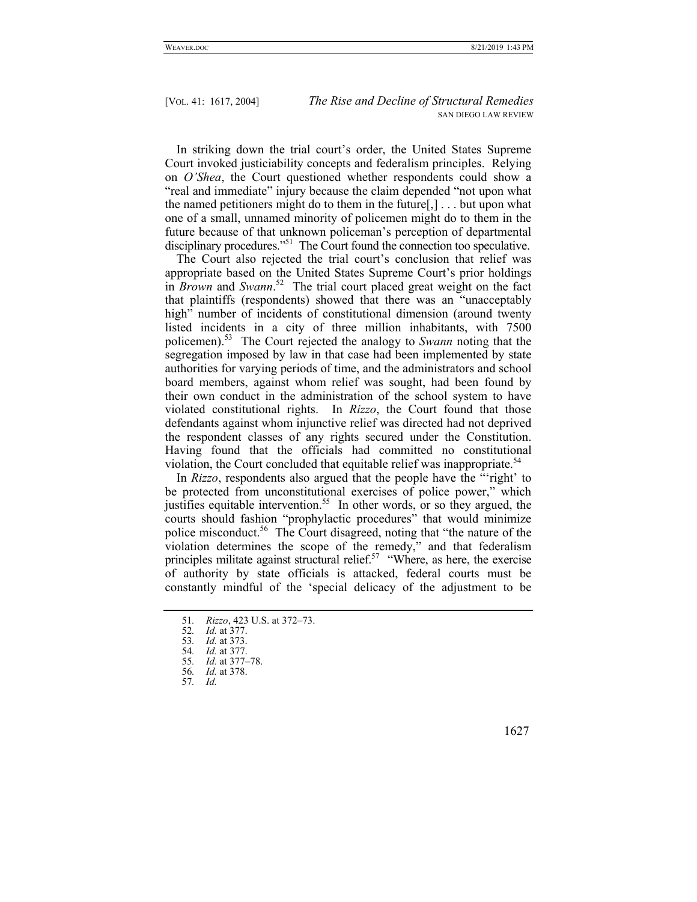In striking down the trial court's order, the United States Supreme Court invoked justiciability concepts and federalism principles. Relying on *O'Shea*, the Court questioned whether respondents could show a "real and immediate" injury because the claim depended "not upon what the named petitioners might do to them in the future $[,] \ldots$  but upon what one of a small, unnamed minority of policemen might do to them in the future because of that unknown policeman's perception of departmental disciplinary procedures."<sup>51</sup> The Court found the connection too speculative.

The Court also rejected the trial court's conclusion that relief was appropriate based on the United States Supreme Court's prior holdings in *Brown* and *Swann*. 52 The trial court placed great weight on the fact that plaintiffs (respondents) showed that there was an "unacceptably high" number of incidents of constitutional dimension (around twenty listed incidents in a city of three million inhabitants, with 7500 policemen).53 The Court rejected the analogy to *Swann* noting that the segregation imposed by law in that case had been implemented by state authorities for varying periods of time, and the administrators and school board members, against whom relief was sought, had been found by their own conduct in the administration of the school system to have violated constitutional rights. In *Rizzo*, the Court found that those defendants against whom injunctive relief was directed had not deprived the respondent classes of any rights secured under the Constitution. Having found that the officials had committed no constitutional violation, the Court concluded that equitable relief was inappropriate.<sup>54</sup>

In *Rizzo*, respondents also argued that the people have the "'right' to be protected from unconstitutional exercises of police power," which justifies equitable intervention.<sup>55</sup> In other words, or so they argued, the courts should fashion "prophylactic procedures" that would minimize police misconduct.<sup>56</sup> The Court disagreed, noting that "the nature of the violation determines the scope of the remedy," and that federalism principles militate against structural relief.<sup>57</sup> "Where, as here, the exercise of authority by state officials is attacked, federal courts must be constantly mindful of the 'special delicacy of the adjustment to be

<sup>51</sup>*. Rizzo*, 423 U.S. at 372–73.

<sup>52</sup>*. Id.* at 377.

<sup>53</sup>*. Id.* at 373.

<sup>54</sup>*. Id.* at 377.

<sup>55</sup>*. Id.* at 377–78.

<sup>56</sup>*. Id.* at 378.

<sup>57</sup>*. Id.*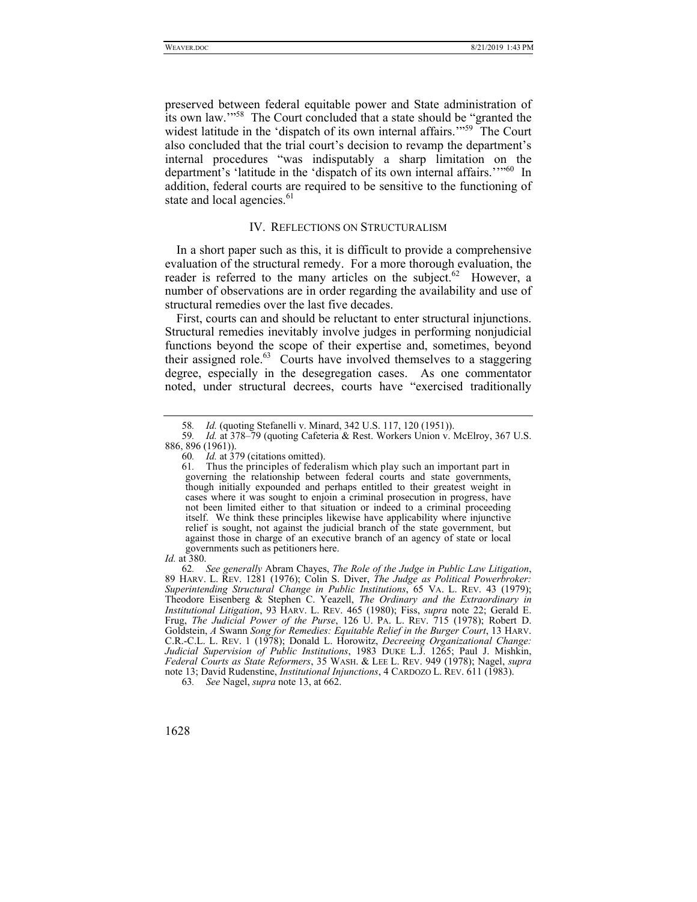preserved between federal equitable power and State administration of its own law.'"58 The Court concluded that a state should be "granted the widest latitude in the 'dispatch of its own internal affairs."<sup>59</sup> The Court also concluded that the trial court's decision to revamp the department's internal procedures "was indisputably a sharp limitation on the department's 'latitude in the 'dispatch of its own internal affairs.''<sup>560</sup> In addition, federal courts are required to be sensitive to the functioning of state and local agencies.<sup>61</sup>

## IV. REFLECTIONS ON STRUCTURALISM

In a short paper such as this, it is difficult to provide a comprehensive evaluation of the structural remedy. For a more thorough evaluation, the reader is referred to the many articles on the subject.<sup>62</sup> However, a number of observations are in order regarding the availability and use of structural remedies over the last five decades.

First, courts can and should be reluctant to enter structural injunctions. Structural remedies inevitably involve judges in performing nonjudicial functions beyond the scope of their expertise and, sometimes, beyond their assigned role. $63$  Courts have involved themselves to a staggering degree, especially in the desegregation cases. As one commentator noted, under structural decrees, courts have "exercised traditionally

62*. See generally* Abram Chayes, *The Role of the Judge in Public Law Litigation*, 89 HARV. L. REV. 1281 (1976); Colin S. Diver, *The Judge as Political Powerbroker: Superintending Structural Change in Public Institutions*, 65 VA. L. REV. 43 (1979); Theodore Eisenberg & Stephen C. Yeazell, *The Ordinary and the Extraordinary in Institutional Litigation*, 93 HARV. L. REV. 465 (1980); Fiss, *supra* note 22; Gerald E. Frug, *The Judicial Power of the Purse*, 126 U. PA. L. REV. 715 (1978); Robert D. Goldstein, *A* Swann *Song for Remedies: Equitable Relief in the Burger Court*, 13 HARV. C.R.-C.L. L. REV. 1 (1978); Donald L. Horowitz, *Decreeing Organizational Change: Judicial Supervision of Public Institutions*, 1983 DUKE L.J. 1265; Paul J. Mishkin, *Federal Courts as State Reformers*, 35 WASH. & LEE L. REV. 949 (1978); Nagel, *supra* note 13; David Rudenstine, *Institutional Injunctions*, 4 CARDOZO L. REV. 611 (1983).

63*. See* Nagel, *supra* note 13, at 662.

<sup>58</sup>*. Id.* (quoting Stefanelli v. Minard, 342 U.S. 117, 120 (1951)).

<sup>59</sup>*. Id.* at 378–79 (quoting Cafeteria & Rest. Workers Union v. McElroy, 367 U.S.

<sup>886, 896 (1961)).</sup> 

<sup>60</sup>*. Id.* at 379 (citations omitted).

<sup>61</sup>*.* Thus the principles of federalism which play such an important part in governing the relationship between federal courts and state governments, though initially expounded and perhaps entitled to their greatest weight in cases where it was sought to enjoin a criminal prosecution in progress, have not been limited either to that situation or indeed to a criminal proceeding itself. We think these principles likewise have applicability where injunctive relief is sought, not against the judicial branch of the state government, but against those in charge of an executive branch of an agency of state or local governments such as petitioners here.

*Id.* at 380.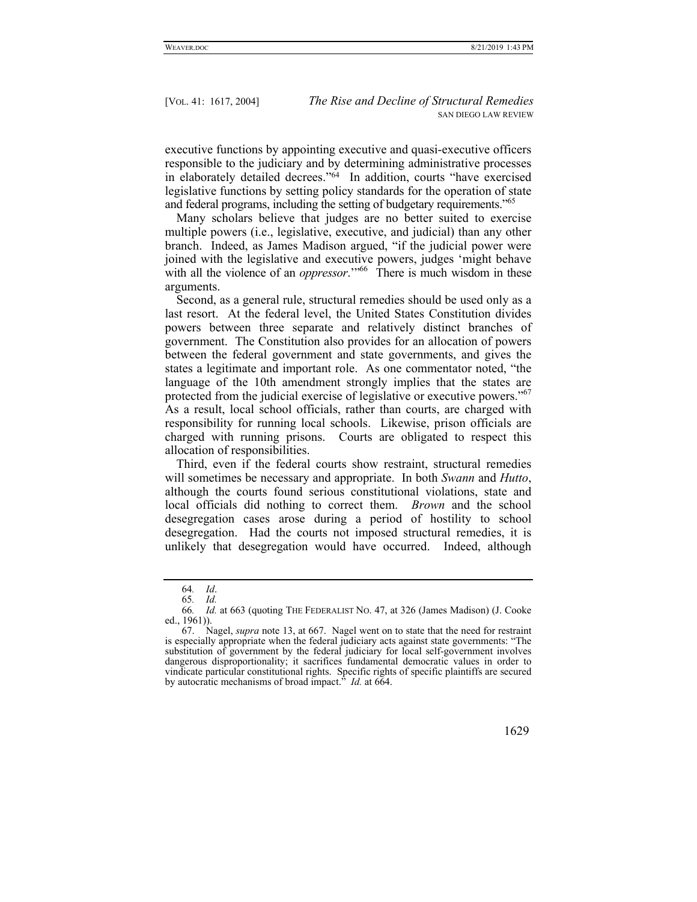executive functions by appointing executive and quasi-executive officers responsible to the judiciary and by determining administrative processes in elaborately detailed decrees."64 In addition, courts "have exercised legislative functions by setting policy standards for the operation of state and federal programs, including the setting of budgetary requirements.<sup>"65</sup>

Many scholars believe that judges are no better suited to exercise multiple powers (i.e., legislative, executive, and judicial) than any other branch. Indeed, as James Madison argued, "if the judicial power were joined with the legislative and executive powers, judges 'might behave with all the violence of an *oppressor*."<sup>66</sup> There is much wisdom in these arguments.

Second, as a general rule, structural remedies should be used only as a last resort. At the federal level, the United States Constitution divides powers between three separate and relatively distinct branches of government. The Constitution also provides for an allocation of powers between the federal government and state governments, and gives the states a legitimate and important role. As one commentator noted, "the language of the 10th amendment strongly implies that the states are protected from the judicial exercise of legislative or executive powers."<sup>67</sup> As a result, local school officials, rather than courts, are charged with responsibility for running local schools. Likewise, prison officials are charged with running prisons. Courts are obligated to respect this allocation of responsibilities.

Third, even if the federal courts show restraint, structural remedies will sometimes be necessary and appropriate. In both *Swann* and *Hutto*, although the courts found serious constitutional violations, state and local officials did nothing to correct them. *Brown* and the school desegregation cases arose during a period of hostility to school desegregation. Had the courts not imposed structural remedies, it is unlikely that desegregation would have occurred. Indeed, although

 <sup>67.</sup> Nagel, *supra* note 13, at 667. Nagel went on to state that the need for restraint is especially appropriate when the federal judiciary acts against state governments: "The substitution of government by the federal judiciary for local self-government involves dangerous disproportionality; it sacrifices fundamental democratic values in order to vindicate particular constitutional rights. Specific rights of specific plaintiffs are secured by autocratic mechanisms of broad impact." *Id.* at 664.



<sup>64</sup>*. Id*.

<sup>65</sup>*. Id.*

<sup>66</sup>*. Id.* at 663 (quoting THE FEDERALIST NO. 47, at 326 (James Madison) (J. Cooke ed., 1961)).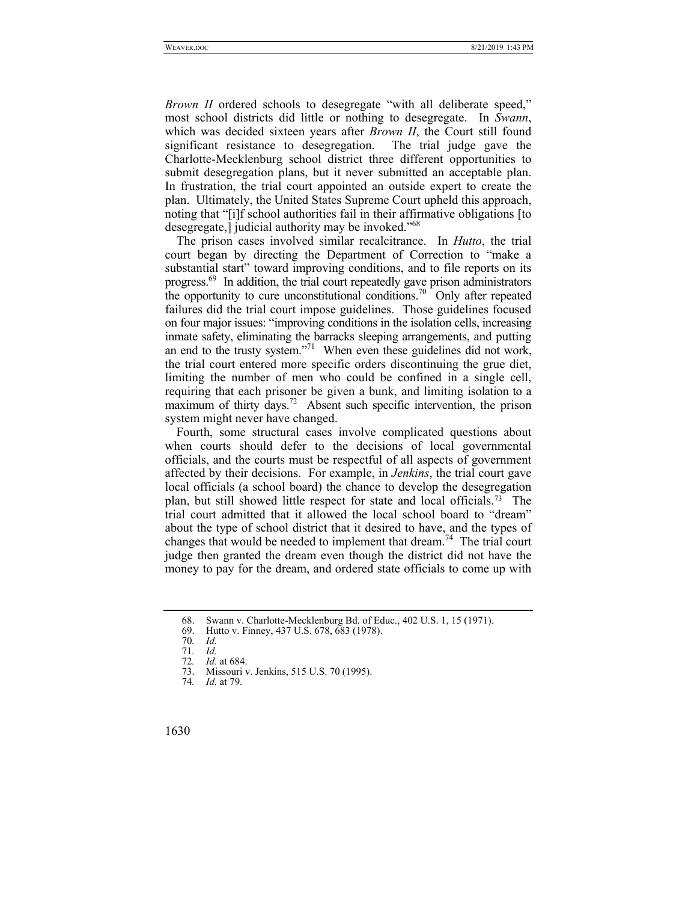*Brown II* ordered schools to desegregate "with all deliberate speed." most school districts did little or nothing to desegregate. In *Swann*, which was decided sixteen years after *Brown II*, the Court still found significant resistance to desegregation. The trial judge gave the Charlotte-Mecklenburg school district three different opportunities to submit desegregation plans, but it never submitted an acceptable plan. In frustration, the trial court appointed an outside expert to create the plan. Ultimately, the United States Supreme Court upheld this approach, noting that "[i]f school authorities fail in their affirmative obligations [to desegregate,] judicial authority may be invoked."<sup>68</sup>

The prison cases involved similar recalcitrance. In *Hutto*, the trial court began by directing the Department of Correction to "make a substantial start" toward improving conditions, and to file reports on its progress.<sup>69</sup> In addition, the trial court repeatedly gave prison administrators the opportunity to cure unconstitutional conditions.<sup>70</sup> Only after repeated failures did the trial court impose guidelines. Those guidelines focused on four major issues: "improving conditions in the isolation cells, increasing inmate safety, eliminating the barracks sleeping arrangements, and putting an end to the trusty system."71 When even these guidelines did not work, the trial court entered more specific orders discontinuing the grue diet, limiting the number of men who could be confined in a single cell, requiring that each prisoner be given a bunk, and limiting isolation to a maximum of thirty days.<sup>72</sup> Absent such specific intervention, the prison system might never have changed.

Fourth, some structural cases involve complicated questions about when courts should defer to the decisions of local governmental officials, and the courts must be respectful of all aspects of government affected by their decisions. For example, in *Jenkins*, the trial court gave local officials (a school board) the chance to develop the desegregation plan, but still showed little respect for state and local officials.73 The trial court admitted that it allowed the local school board to "dream" about the type of school district that it desired to have, and the types of changes that would be needed to implement that dream.<sup>74</sup> The trial court judge then granted the dream even though the district did not have the money to pay for the dream, and ordered state officials to come up with

 <sup>68.</sup> Swann v. Charlotte-Mecklenburg Bd. of Educ., 402 U.S. 1, 15 (1971).

 <sup>69.</sup> Hutto v. Finney, 437 U.S. 678, 683 (1978).

<sup>70</sup>*. Id.* 71*. Id.*

<sup>72</sup>*. Id.* at 684.

Missouri v. Jenkins, 515 U.S. 70 (1995).

<sup>74</sup>*. Id.* at 79.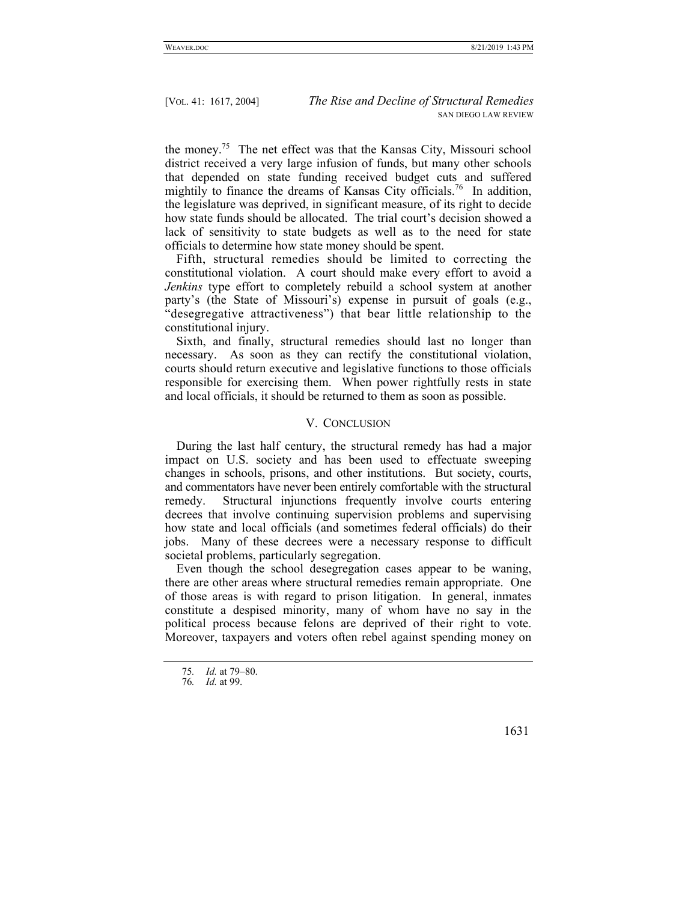the money.75 The net effect was that the Kansas City, Missouri school district received a very large infusion of funds, but many other schools that depended on state funding received budget cuts and suffered mightily to finance the dreams of Kansas City officials.<sup>76</sup> In addition, the legislature was deprived, in significant measure, of its right to decide how state funds should be allocated. The trial court's decision showed a lack of sensitivity to state budgets as well as to the need for state officials to determine how state money should be spent.

Fifth, structural remedies should be limited to correcting the constitutional violation. A court should make every effort to avoid a *Jenkins* type effort to completely rebuild a school system at another party's (the State of Missouri's) expense in pursuit of goals (e.g., "desegregative attractiveness") that bear little relationship to the constitutional injury.

Sixth, and finally, structural remedies should last no longer than necessary. As soon as they can rectify the constitutional violation, courts should return executive and legislative functions to those officials responsible for exercising them. When power rightfully rests in state and local officials, it should be returned to them as soon as possible.

### V. CONCLUSION

During the last half century, the structural remedy has had a major impact on U.S. society and has been used to effectuate sweeping changes in schools, prisons, and other institutions. But society, courts, and commentators have never been entirely comfortable with the structural remedy. Structural injunctions frequently involve courts entering decrees that involve continuing supervision problems and supervising how state and local officials (and sometimes federal officials) do their jobs. Many of these decrees were a necessary response to difficult societal problems, particularly segregation.

Even though the school desegregation cases appear to be waning, there are other areas where structural remedies remain appropriate. One of those areas is with regard to prison litigation. In general, inmates constitute a despised minority, many of whom have no say in the political process because felons are deprived of their right to vote. Moreover, taxpayers and voters often rebel against spending money on

<sup>75</sup>*. Id.* at 79–80.

<sup>76</sup>*. Id.* at 99.